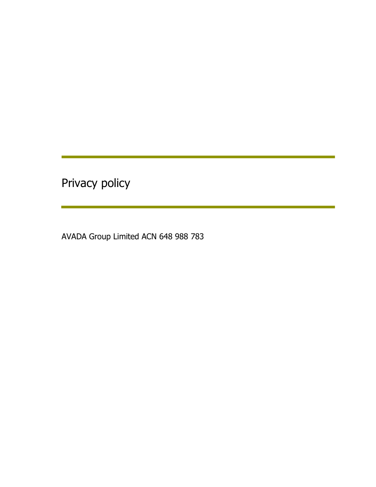Privacy policy

AVADA Group Limited ACN 648 988 783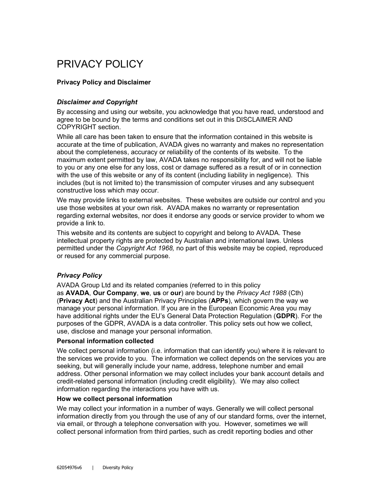# PRIVACY POLICY

# Privacy Policy and Disclaimer

# Disclaimer and Copyright

By accessing and using our website, you acknowledge that you have read, understood and agree to be bound by the terms and conditions set out in this DISCLAIMER AND COPYRIGHT section.

While all care has been taken to ensure that the information contained in this website is accurate at the time of publication, AVADA gives no warranty and makes no representation about the completeness, accuracy or reliability of the contents of its website. To the maximum extent permitted by law, AVADA takes no responsibility for, and will not be liable to you or any one else for any loss, cost or damage suffered as a result of or in connection with the use of this website or any of its content (including liability in negligence). This includes (but is not limited to) the transmission of computer viruses and any subsequent constructive loss which may occur.

We may provide links to external websites. These websites are outside our control and you use those websites at your own risk. AVADA makes no warranty or representation regarding external websites, nor does it endorse any goods or service provider to whom we provide a link to.

This website and its contents are subject to copyright and belong to AVADA. These intellectual property rights are protected by Australian and international laws. Unless permitted under the Copyright Act 1968, no part of this website may be copied, reproduced or reused for any commercial purpose.

# Privacy Policy

AVADA Group Ltd and its related companies (referred to in this policy as AVADA, Our Company, we, us or our) are bound by the Privacy Act 1988 (Cth) (Privacy Act) and the Australian Privacy Principles (APPs), which govern the way we manage your personal information. If you are in the European Economic Area you may have additional rights under the EU's General Data Protection Regulation (GDPR). For the purposes of the GDPR, AVADA is a data controller. This policy sets out how we collect, use, disclose and manage your personal information.

## Personal information collected

We collect personal information (i.e. information that can identify you) where it is relevant to the services we provide to you. The information we collect depends on the services you are seeking, but will generally include your name, address, telephone number and email address. Other personal information we may collect includes your bank account details and credit-related personal information (including credit eligibility). We may also collect information regarding the interactions you have with us.

## How we collect personal information

We may collect your information in a number of ways. Generally we will collect personal information directly from you through the use of any of our standard forms, over the internet, via email, or through a telephone conversation with you. However, sometimes we will collect personal information from third parties, such as credit reporting bodies and other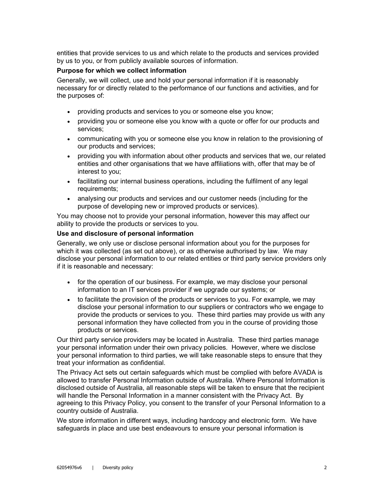entities that provide services to us and which relate to the products and services provided by us to you, or from publicly available sources of information.

## Purpose for which we collect information

Generally, we will collect, use and hold your personal information if it is reasonably necessary for or directly related to the performance of our functions and activities, and for the purposes of:

- providing products and services to you or someone else you know;
- providing you or someone else you know with a quote or offer for our products and services;
- communicating with you or someone else you know in relation to the provisioning of our products and services;
- providing you with information about other products and services that we, our related entities and other organisations that we have affiliations with, offer that may be of interest to you;
- facilitating our internal business operations, including the fulfilment of any legal requirements;
- analysing our products and services and our customer needs (including for the purpose of developing new or improved products or services).

You may choose not to provide your personal information, however this may affect our ability to provide the products or services to you.

## Use and disclosure of personal information

Generally, we only use or disclose personal information about you for the purposes for which it was collected (as set out above), or as otherwise authorised by law. We may disclose your personal information to our related entities or third party service providers only if it is reasonable and necessary:

- for the operation of our business. For example, we may disclose your personal information to an IT services provider if we upgrade our systems; or
- to facilitate the provision of the products or services to you. For example, we may disclose your personal information to our suppliers or contractors who we engage to provide the products or services to you. These third parties may provide us with any personal information they have collected from you in the course of providing those products or services.

Our third party service providers may be located in Australia. These third parties manage your personal information under their own privacy policies. However, where we disclose your personal information to third parties, we will take reasonable steps to ensure that they treat your information as confidential.

The Privacy Act sets out certain safeguards which must be complied with before AVADA is allowed to transfer Personal Information outside of Australia. Where Personal Information is disclosed outside of Australia, all reasonable steps will be taken to ensure that the recipient will handle the Personal Information in a manner consistent with the Privacy Act. By agreeing to this Privacy Policy, you consent to the transfer of your Personal Information to a country outside of Australia.

We store information in different ways, including hardcopy and electronic form. We have safeguards in place and use best endeavours to ensure your personal information is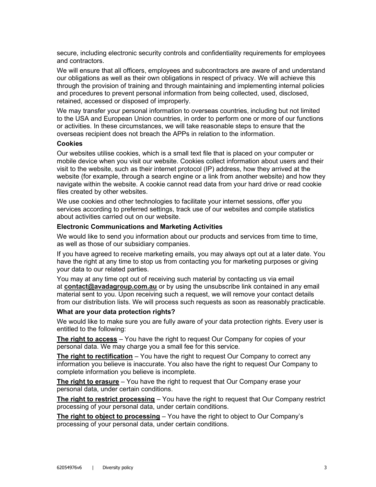secure, including electronic security controls and confidentiality requirements for employees and contractors.

We will ensure that all officers, employees and subcontractors are aware of and understand our obligations as well as their own obligations in respect of privacy. We will achieve this through the provision of training and through maintaining and implementing internal policies and procedures to prevent personal information from being collected, used, disclosed, retained, accessed or disposed of improperly.

We may transfer your personal information to overseas countries, including but not limited to the USA and European Union countries, in order to perform one or more of our functions or activities. In these circumstances, we will take reasonable steps to ensure that the overseas recipient does not breach the APPs in relation to the information.

#### **Cookies**

Our websites utilise cookies, which is a small text file that is placed on your computer or mobile device when you visit our website. Cookies collect information about users and their visit to the website, such as their internet protocol (IP) address, how they arrived at the website (for example, through a search engine or a link from another website) and how they navigate within the website. A cookie cannot read data from your hard drive or read cookie files created by other websites.

We use cookies and other technologies to facilitate your internet sessions, offer you services according to preferred settings, track use of our websites and compile statistics about activities carried out on our website.

## Electronic Communications and Marketing Activities

We would like to send you information about our products and services from time to time, as well as those of our subsidiary companies.

If you have agreed to receive marketing emails, you may always opt out at a later date. You have the right at any time to stop us from contacting you for marketing purposes or giving your data to our related parties.

You may at any time opt out of receiving such material by contacting us via email at contact@avadagroup.com.au or by using the unsubscribe link contained in any email material sent to you. Upon receiving such a request, we will remove your contact details from our distribution lists. We will process such requests as soon as reasonably practicable.

#### What are your data protection rights?

We would like to make sure you are fully aware of your data protection rights. Every user is entitled to the following:

The right to access – You have the right to request Our Company for copies of your personal data. We may charge you a small fee for this service.

The right to rectification  $-$  You have the right to request Our Company to correct any information you believe is inaccurate. You also have the right to request Our Company to complete information you believe is incomplete.

The right to erasure  $-$  You have the right to request that Our Company erase your personal data, under certain conditions.

The right to restrict processing - You have the right to request that Our Company restrict processing of your personal data, under certain conditions.

The right to object to processing – You have the right to object to Our Company's processing of your personal data, under certain conditions.